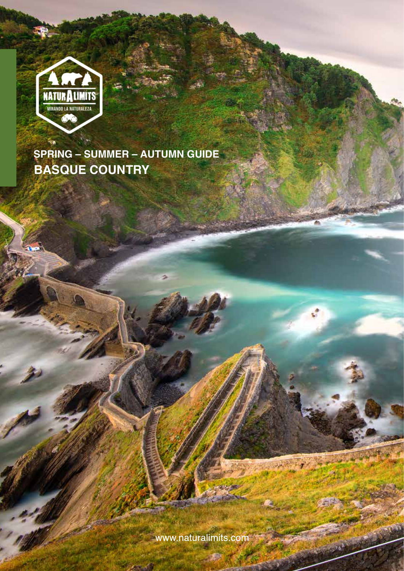

www.naturalimits.com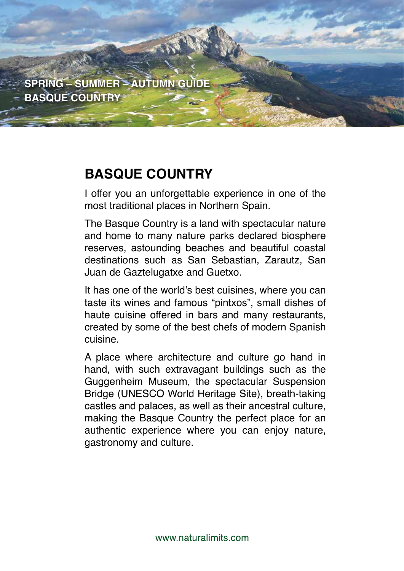

# **BASQUE COUNTRY**

I offer you an unforgettable experience in one of the most traditional places in Northern Spain.

**17/07/2017**

PRESSURE STATE OF THE STATE OF THE STATE OF THE STATE OF THE STATE OF THE STATE OF THE STATE OF THE STATE OF THE STATE OF THE STATE OF THE STATE OF THE STATE OF THE STATE OF THE STATE OF THE STATE OF THE STATE OF THE STATE

**REF.: RUTA EUSKADI BASQUE** 

The Basque Country is a land with spectacular nature and home to many nature parks declared biosphere reserves, astounding beaches and beautiful coastal destinations such as San Sebastian, Zarautz, San Juan de Gaztelugatxe and Guetxo.

It has one of the world's best cuisines, where you can taste its wines and famous "pintxos", small dishes of haute cuisine offered in bars and many restaurants, created by some of the best chefs of modern Spanish cuisine.

A place where architecture and culture go hand in hand, with such extravagant buildings such as the Guggenheim Museum, the spectacular Suspension Bridge (UNESCO World Heritage Site), breath-taking castles and palaces, as well as their ancestral culture, making the Basque Country the perfect place for an authentic experience where you can enjoy nature, gastronomy and culture.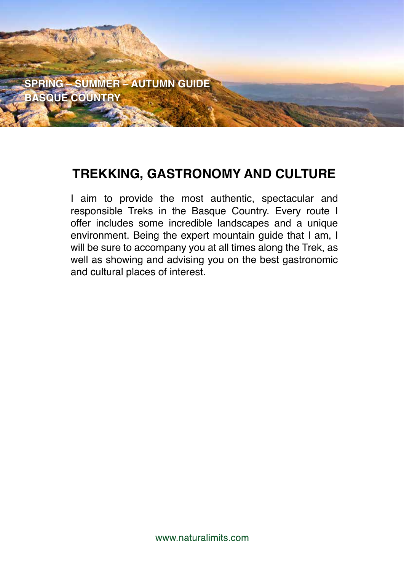

# **TREKKING, GASTRONOMY AND CULTURE**

I aim to provide the most authentic, spectacular and responsible Treks in the Basque Country. Every route I offer includes some incredible landscapes and a unique environment. Being the expert mountain guide that I am, I will be sure to accompany you at all times along the Trek, as well as showing and advising you on the best gastronomic and cultural places of interest.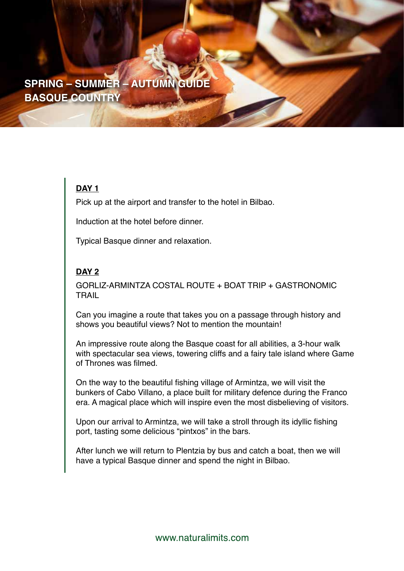### **DAY 1**

Pick up at the airport and transfer to the hotel in Bilbao.

Induction at the hotel before dinner.

Typical Basque dinner and relaxation.

### **DAY 2**

GORLIZ-ARMINTZA COSTAL ROUTE + BOAT TRIP + GASTRONOMIC TRAIL

Can you imagine a route that takes you on a passage through history and shows you beautiful views? Not to mention the mountain!

An impressive route along the Basque coast for all abilities, a 3-hour walk with spectacular sea views, towering cliffs and a fairy tale island where Game of Thrones was filmed.

On the way to the beautiful fishing village of Armintza, we will visit the bunkers of Cabo Villano, a place built for military defence during the Franco era. A magical place which will inspire even the most disbelieving of visitors.

Upon our arrival to Armintza, we will take a stroll through its idyllic fishing port, tasting some delicious "pintxos" in the bars.

After lunch we will return to Plentzia by bus and catch a boat, then we will have a typical Basque dinner and spend the night in Bilbao.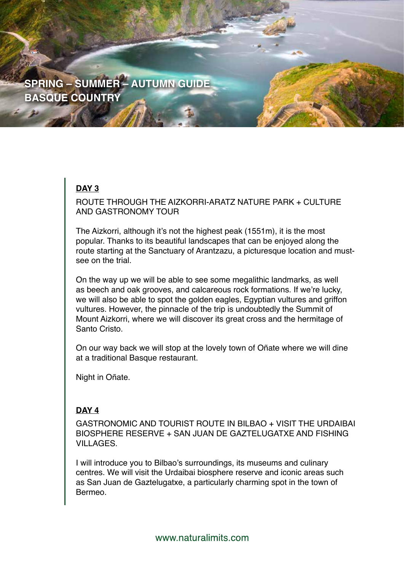### **DAY 3**

ROUTE THROUGH THE AIZKORRI-ARATZ NATURE PARK + CULTURE AND GASTRONOMY TOUR

The Aizkorri, although it's not the highest peak (1551m), it is the most popular. Thanks to its beautiful landscapes that can be enjoyed along the route starting at the Sanctuary of Arantzazu, a picturesque location and mustsee on the trial

On the way up we will be able to see some megalithic landmarks, as well as beech and oak grooves, and calcareous rock formations. If we're lucky, we will also be able to spot the golden eagles, Egyptian vultures and griffon vultures. However, the pinnacle of the trip is undoubtedly the Summit of Mount Aizkorri, where we will discover its great cross and the hermitage of Santo Cristo.

On our way back we will stop at the lovely town of Oñate where we will dine at a traditional Basque restaurant.

Night in Oñate.

### **DAY 4**

GASTRONOMIC AND TOURIST ROUTE IN BILBAO + VISIT THE URDAIBAI BIOSPHERE RESERVE + SAN JUAN DE GAZTELUGATXE AND FISHING VILLAGES.

I will introduce you to Bilbao's surroundings, its museums and culinary centres. We will visit the Urdaibai biosphere reserve and iconic areas such as San Juan de Gaztelugatxe, a particularly charming spot in the town of Bermeo.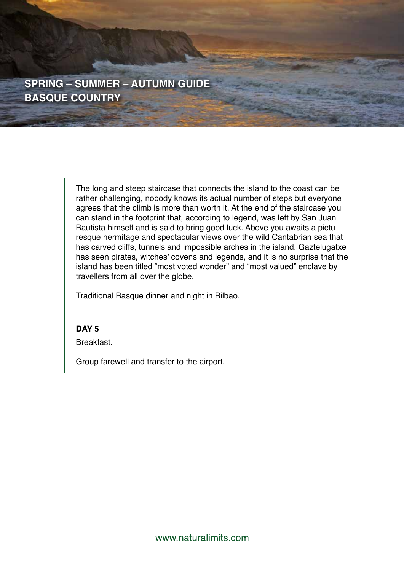> The long and steep staircase that connects the island to the coast can be rather challenging, nobody knows its actual number of steps but everyone agrees that the climb is more than worth it. At the end of the staircase you can stand in the footprint that, according to legend, was left by San Juan Bautista himself and is said to bring good luck. Above you awaits a picturesque hermitage and spectacular views over the wild Cantabrian sea that has carved cliffs, tunnels and impossible arches in the island. Gaztelugatxe has seen pirates, witches' covens and legends, and it is no surprise that the island has been titled "most voted wonder" and "most valued" enclave by travellers from all over the globe.

Traditional Basque dinner and night in Bilbao.

#### **DAY 5**

Breakfast.

Group farewell and transfer to the airport.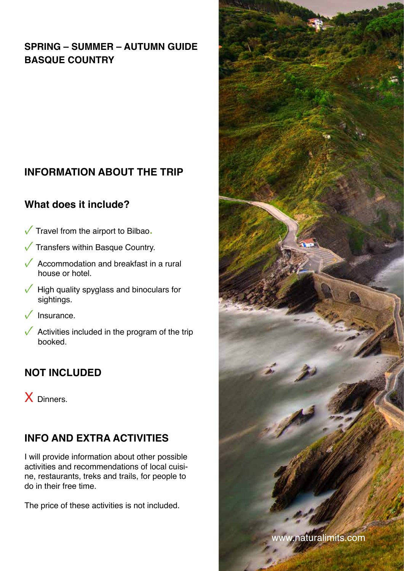# **INFORMATION ABOUT THE TRIP**

## **What does it include?**

- $\sqrt{\ }$  Travel from the airport to Bilbao.
- $\sqrt{\ }$  Transfers within Basque Country.
- $\sqrt{\phantom{a}}$  Accommodation and breakfast in a rural house or hotel.
- $\sqrt{\phantom{a}}$  High quality spyglass and binoculars for sightings.
- Insurance.
- Activities included in the program of the trip booked.

## **NOT INCLUDED**

X Dinners.

# **INFO AND EXTRA ACTIVITIES**

I will provide information about other possible activities and recommendations of local cuisine, restaurants, treks and trails, for people to do in their free time.

The price of these activities is not included.